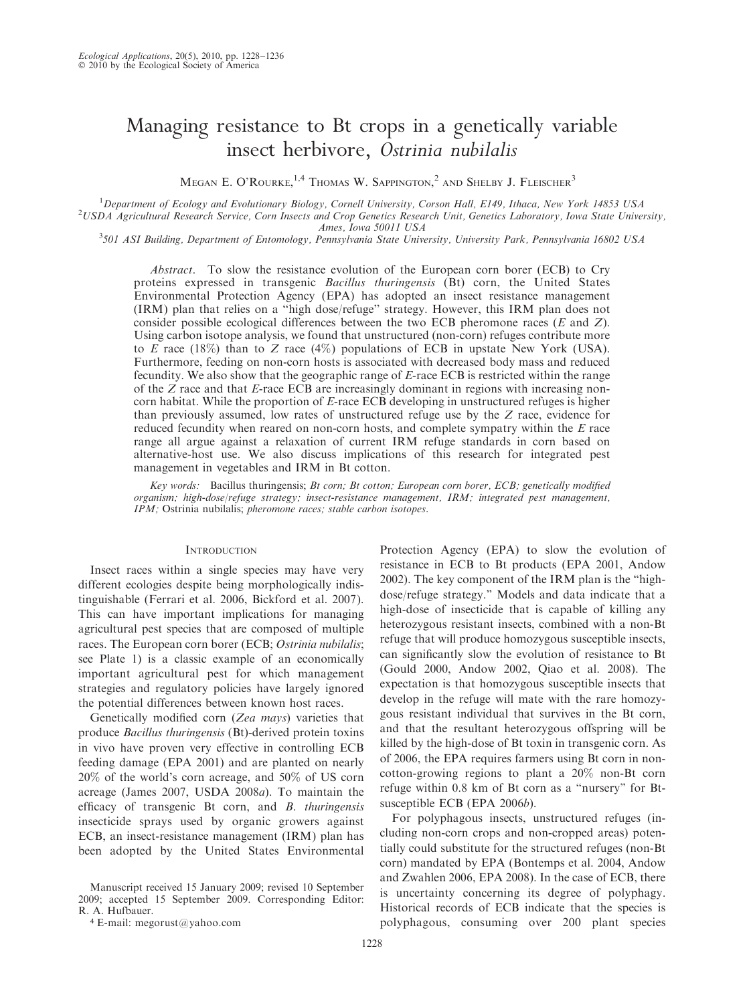# Managing resistance to Bt crops in a genetically variable insect herbivore, Ostrinia nubilalis

Megan E. O'Rourke,  $^{1,4}$  Thomas W. Sappington,  $^2$  and Shelby J. Fleischer<sup>3</sup>

<sup>1</sup>Department of Ecology and Evolutionary Biology, Cornell University, Corson Hall, E149, Ithaca, New York 14853 USA<br><sup>2</sup>USDA Agricultural Research Service, Corn Insects and Cron Genetics Research Unit Genetics Laboratory,  $^{2}$ USDA Agricultural Research Service, Corn Insects and Crop Genetics Research Unit, Genetics Laboratory, Iowa State University,<br>Ames, Iowa 50011 USA

Ames, Iowa 50011 USA<br>3501 ASI Building, Department of Entomology, Pennsylvania State University, University Park, Pennsylvania 16802 USA

Abstract. To slow the resistance evolution of the European corn borer (ECB) to Cry proteins expressed in transgenic Bacillus thuringensis (Bt) corn, the United States Environmental Protection Agency (EPA) has adopted an insect resistance management (IRM) plan that relies on a ''high dose/refuge'' strategy. However, this IRM plan does not consider possible ecological differences between the two ECB pheromone races ( $E$  and  $Z$ ). Using carbon isotope analysis, we found that unstructured (non-corn) refuges contribute more to E race  $(18\%)$  than to Z race  $(4\%)$  populations of ECB in upstate New York (USA). Furthermore, feeding on non-corn hosts is associated with decreased body mass and reduced fecundity. We also show that the geographic range of E-race ECB is restricted within the range of the Z race and that E-race ECB are increasingly dominant in regions with increasing noncorn habitat. While the proportion of E-race ECB developing in unstructured refuges is higher than previously assumed, low rates of unstructured refuge use by the Z race, evidence for reduced fecundity when reared on non-corn hosts, and complete sympatry within the  $E$  race range all argue against a relaxation of current IRM refuge standards in corn based on alternative-host use. We also discuss implications of this research for integrated pest management in vegetables and IRM in Bt cotton.

Key words: Bacillus thuringensis; Bt corn; Bt cotton; European corn borer, ECB; genetically modified organism; high-dose/refuge strategy; insect-resistance management, IRM; integrated pest management, IPM; Ostrinia nubilalis; pheromone races; stable carbon isotopes.

## **INTRODUCTION**

Insect races within a single species may have very different ecologies despite being morphologically indistinguishable (Ferrari et al. 2006, Bickford et al. 2007). This can have important implications for managing agricultural pest species that are composed of multiple races. The European corn borer (ECB; Ostrinia nubilalis; see Plate 1) is a classic example of an economically important agricultural pest for which management strategies and regulatory policies have largely ignored the potential differences between known host races.

Genetically modified corn (Zea mays) varieties that produce Bacillus thuringensis (Bt)-derived protein toxins in vivo have proven very effective in controlling ECB feeding damage (EPA 2001) and are planted on nearly 20% of the world's corn acreage, and 50% of US corn acreage (James 2007, USDA 2008a). To maintain the efficacy of transgenic Bt corn, and B. thuringensis insecticide sprays used by organic growers against ECB, an insect-resistance management (IRM) plan has been adopted by the United States Environmental

Manuscript received 15 January 2009; revised 10 September 2009; accepted 15 September 2009. Corresponding Editor: R. A. Hufbauer.

<sup>4</sup> E-mail: megorust@yahoo.com

Protection Agency (EPA) to slow the evolution of resistance in ECB to Bt products (EPA 2001, Andow 2002). The key component of the IRM plan is the ''highdose/refuge strategy.'' Models and data indicate that a high-dose of insecticide that is capable of killing any heterozygous resistant insects, combined with a non-Bt refuge that will produce homozygous susceptible insects, can significantly slow the evolution of resistance to Bt (Gould 2000, Andow 2002, Qiao et al. 2008). The expectation is that homozygous susceptible insects that develop in the refuge will mate with the rare homozygous resistant individual that survives in the Bt corn, and that the resultant heterozygous offspring will be killed by the high-dose of Bt toxin in transgenic corn. As of 2006, the EPA requires farmers using Bt corn in noncotton-growing regions to plant a 20% non-Bt corn refuge within 0.8 km of Bt corn as a ''nursery'' for Btsusceptible ECB (EPA 2006b).

For polyphagous insects, unstructured refuges (including non-corn crops and non-cropped areas) potentially could substitute for the structured refuges (non-Bt corn) mandated by EPA (Bontemps et al. 2004, Andow and Zwahlen 2006, EPA 2008). In the case of ECB, there is uncertainty concerning its degree of polyphagy. Historical records of ECB indicate that the species is polyphagous, consuming over 200 plant species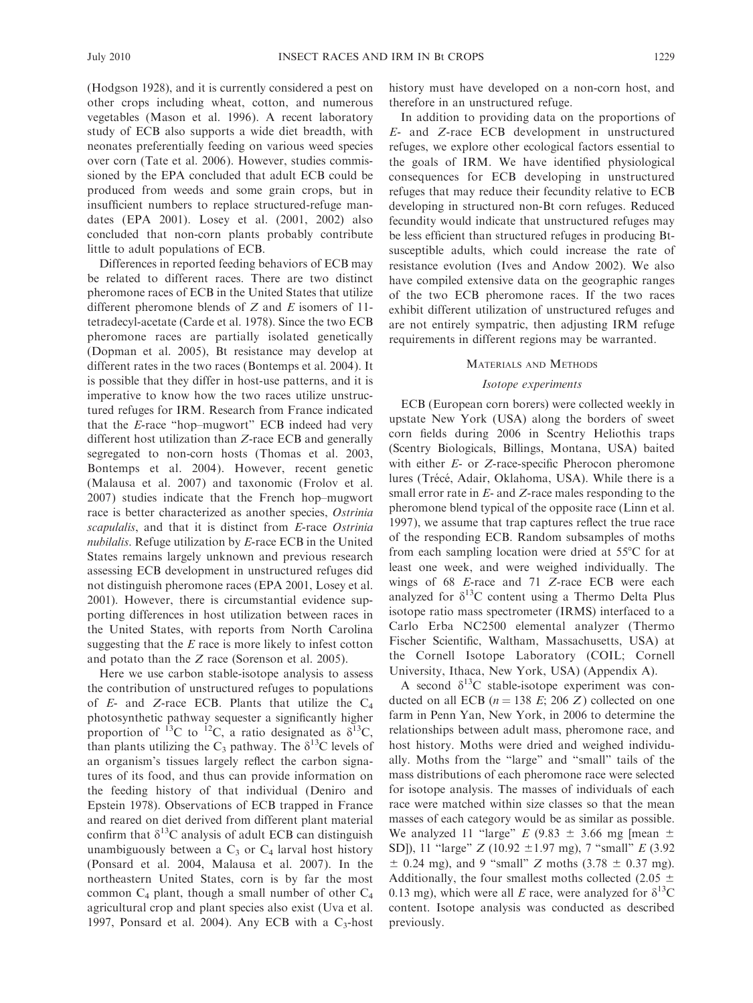(Hodgson 1928), and it is currently considered a pest on other crops including wheat, cotton, and numerous vegetables (Mason et al. 1996). A recent laboratory study of ECB also supports a wide diet breadth, with neonates preferentially feeding on various weed species over corn (Tate et al. 2006). However, studies commissioned by the EPA concluded that adult ECB could be produced from weeds and some grain crops, but in insufficient numbers to replace structured-refuge mandates (EPA 2001). Losey et al. (2001, 2002) also concluded that non-corn plants probably contribute little to adult populations of ECB.

Differences in reported feeding behaviors of ECB may be related to different races. There are two distinct pheromone races of ECB in the United States that utilize different pheromone blends of  $Z$  and  $E$  isomers of 11tetradecyl-acetate (Carde et al. 1978). Since the two ECB pheromone races are partially isolated genetically (Dopman et al. 2005), Bt resistance may develop at different rates in the two races (Bontemps et al. 2004). It is possible that they differ in host-use patterns, and it is imperative to know how the two races utilize unstructured refuges for IRM. Research from France indicated that the E-race ''hop–mugwort'' ECB indeed had very different host utilization than Z-race ECB and generally segregated to non-corn hosts (Thomas et al. 2003, Bontemps et al. 2004). However, recent genetic (Malausa et al. 2007) and taxonomic (Frolov et al. 2007) studies indicate that the French hop–mugwort race is better characterized as another species, Ostrinia scapulalis, and that it is distinct from E-race Ostrinia nubilalis. Refuge utilization by E-race ECB in the United States remains largely unknown and previous research assessing ECB development in unstructured refuges did not distinguish pheromone races (EPA 2001, Losey et al. 2001). However, there is circumstantial evidence supporting differences in host utilization between races in the United States, with reports from North Carolina suggesting that the  $E$  race is more likely to infest cotton and potato than the Z race (Sorenson et al. 2005).

Here we use carbon stable-isotope analysis to assess the contribution of unstructured refuges to populations of  $E$ - and Z-race ECB. Plants that utilize the  $C_4$ photosynthetic pathway sequester a significantly higher proportion of <sup>13</sup>C to <sup>12</sup>C, a ratio designated as  $\delta^{13}$ C, than plants utilizing the C<sub>3</sub> pathway. The  $\delta^{13}$ C levels of an organism's tissues largely reflect the carbon signatures of its food, and thus can provide information on the feeding history of that individual (Deniro and Epstein 1978). Observations of ECB trapped in France and reared on diet derived from different plant material confirm that  $\delta^{13}$ C analysis of adult ECB can distinguish unambiguously between a  $C_3$  or  $C_4$  larval host history (Ponsard et al. 2004, Malausa et al. 2007). In the northeastern United States, corn is by far the most common  $C_4$  plant, though a small number of other  $C_4$ agricultural crop and plant species also exist (Uva et al. 1997, Ponsard et al. 2004). Any ECB with a  $C_3$ -host

history must have developed on a non-corn host, and therefore in an unstructured refuge.

In addition to providing data on the proportions of E- and Z-race ECB development in unstructured refuges, we explore other ecological factors essential to the goals of IRM. We have identified physiological consequences for ECB developing in unstructured refuges that may reduce their fecundity relative to ECB developing in structured non-Bt corn refuges. Reduced fecundity would indicate that unstructured refuges may be less efficient than structured refuges in producing Btsusceptible adults, which could increase the rate of resistance evolution (Ives and Andow 2002). We also have compiled extensive data on the geographic ranges of the two ECB pheromone races. If the two races exhibit different utilization of unstructured refuges and are not entirely sympatric, then adjusting IRM refuge requirements in different regions may be warranted.

# MATERIALS AND METHODS

# Isotope experiments

ECB (European corn borers) were collected weekly in upstate New York (USA) along the borders of sweet corn fields during 2006 in Scentry Heliothis traps (Scentry Biologicals, Billings, Montana, USA) baited with either E- or Z-race-specific Pherocon pheromone lures (Trécé, Adair, Oklahoma, USA). While there is a small error rate in  $E$ - and  $Z$ -race males responding to the pheromone blend typical of the opposite race (Linn et al. 1997), we assume that trap captures reflect the true race of the responding ECB. Random subsamples of moths from each sampling location were dried at  $55^{\circ}$ C for at least one week, and were weighed individually. The wings of 68 E-race and 71 Z-race ECB were each analyzed for  $\delta^{13}$ C content using a Thermo Delta Plus isotope ratio mass spectrometer (IRMS) interfaced to a Carlo Erba NC2500 elemental analyzer (Thermo Fischer Scientific, Waltham, Massachusetts, USA) at the Cornell Isotope Laboratory (COIL; Cornell University, Ithaca, New York, USA) (Appendix A).

A second  $\delta^{13}$ C stable-isotope experiment was conducted on all ECB  $(n = 138 E; 206 Z)$  collected on one farm in Penn Yan, New York, in 2006 to determine the relationships between adult mass, pheromone race, and host history. Moths were dried and weighed individually. Moths from the ''large'' and ''small'' tails of the mass distributions of each pheromone race were selected for isotope analysis. The masses of individuals of each race were matched within size classes so that the mean masses of each category would be as similar as possible. We analyzed 11 "large"  $E$  (9.83  $\pm$  3.66 mg [mean  $\pm$ SD]), 11 "large"  $Z$  (10.92  $\pm$ 1.97 mg), 7 "small"  $E$  (3.92  $\pm$  0.24 mg), and 9 "small" Z moths (3.78  $\pm$  0.37 mg). Additionally, the four smallest moths collected (2.05  $\pm$ 0.13 mg), which were all E race, were analyzed for  $\delta^{13}C$ content. Isotope analysis was conducted as described previously.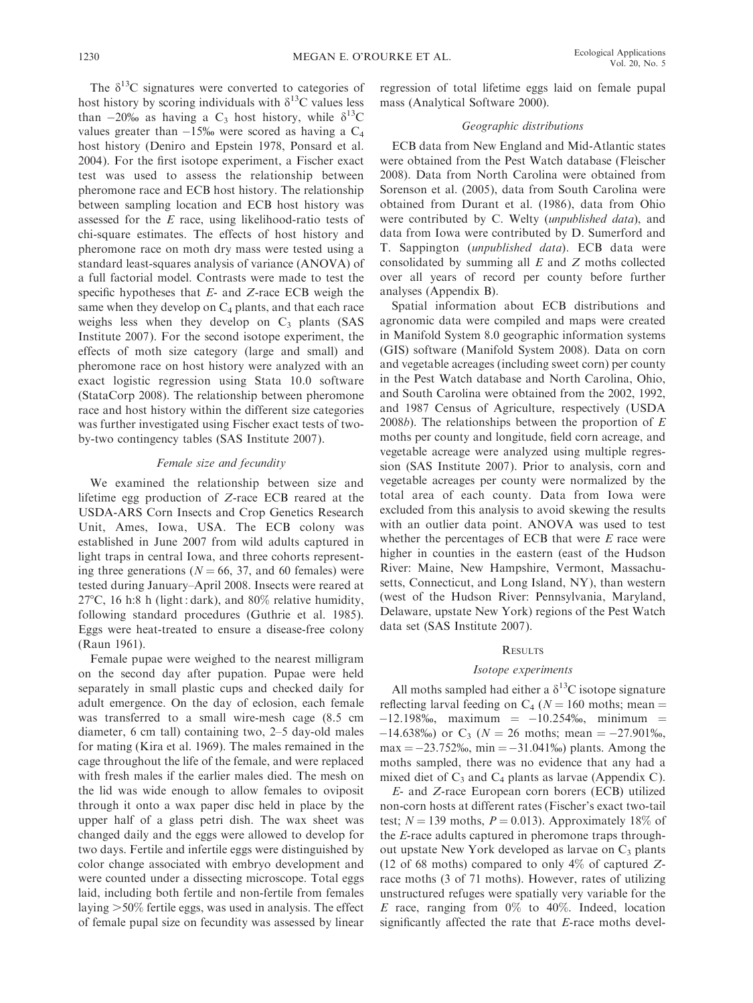The  $\delta^{13}$ C signatures were converted to categories of host history by scoring individuals with  $\delta^{13}$ C values less than  $-20\%$  as having a C<sub>3</sub> host history, while  $\delta^{13}$ C values greater than  $-15\%$  were scored as having a  $C_4$ host history (Deniro and Epstein 1978, Ponsard et al. 2004). For the first isotope experiment, a Fischer exact test was used to assess the relationship between pheromone race and ECB host history. The relationship between sampling location and ECB host history was assessed for the E race, using likelihood-ratio tests of chi-square estimates. The effects of host history and pheromone race on moth dry mass were tested using a standard least-squares analysis of variance (ANOVA) of a full factorial model. Contrasts were made to test the specific hypotheses that  $E$ - and  $Z$ -race ECB weigh the same when they develop on  $C_4$  plants, and that each race weighs less when they develop on  $C_3$  plants (SAS Institute 2007). For the second isotope experiment, the effects of moth size category (large and small) and pheromone race on host history were analyzed with an exact logistic regression using Stata 10.0 software (StataCorp 2008). The relationship between pheromone race and host history within the different size categories was further investigated using Fischer exact tests of twoby-two contingency tables (SAS Institute 2007).

## Female size and fecundity

We examined the relationship between size and lifetime egg production of Z-race ECB reared at the USDA-ARS Corn Insects and Crop Genetics Research Unit, Ames, Iowa, USA. The ECB colony was established in June 2007 from wild adults captured in light traps in central Iowa, and three cohorts representing three generations ( $N = 66, 37,$  and 60 females) were tested during January–April 2008. Insects were reared at  $27^{\circ}$ C, 16 h:8 h (light: dark), and 80% relative humidity, following standard procedures (Guthrie et al. 1985). Eggs were heat-treated to ensure a disease-free colony (Raun 1961).

Female pupae were weighed to the nearest milligram on the second day after pupation. Pupae were held separately in small plastic cups and checked daily for adult emergence. On the day of eclosion, each female was transferred to a small wire-mesh cage (8.5 cm diameter, 6 cm tall) containing two, 2–5 day-old males for mating (Kira et al. 1969). The males remained in the cage throughout the life of the female, and were replaced with fresh males if the earlier males died. The mesh on the lid was wide enough to allow females to oviposit through it onto a wax paper disc held in place by the upper half of a glass petri dish. The wax sheet was changed daily and the eggs were allowed to develop for two days. Fertile and infertile eggs were distinguished by color change associated with embryo development and were counted under a dissecting microscope. Total eggs laid, including both fertile and non-fertile from females laying  $>50\%$  fertile eggs, was used in analysis. The effect of female pupal size on fecundity was assessed by linear

regression of total lifetime eggs laid on female pupal mass (Analytical Software 2000).

# Geographic distributions

ECB data from New England and Mid-Atlantic states were obtained from the Pest Watch database (Fleischer 2008). Data from North Carolina were obtained from Sorenson et al. (2005), data from South Carolina were obtained from Durant et al. (1986), data from Ohio were contributed by C. Welty (unpublished data), and data from Iowa were contributed by D. Sumerford and T. Sappington (unpublished data). ECB data were consolidated by summing all  $E$  and  $Z$  moths collected over all years of record per county before further analyses (Appendix B).

Spatial information about ECB distributions and agronomic data were compiled and maps were created in Manifold System 8.0 geographic information systems (GIS) software (Manifold System 2008). Data on corn and vegetable acreages (including sweet corn) per county in the Pest Watch database and North Carolina, Ohio, and South Carolina were obtained from the 2002, 1992, and 1987 Census of Agriculture, respectively (USDA 2008b). The relationships between the proportion of  $E$ moths per county and longitude, field corn acreage, and vegetable acreage were analyzed using multiple regression (SAS Institute 2007). Prior to analysis, corn and vegetable acreages per county were normalized by the total area of each county. Data from Iowa were excluded from this analysis to avoid skewing the results with an outlier data point. ANOVA was used to test whether the percentages of ECB that were  $E$  race were higher in counties in the eastern (east of the Hudson River: Maine, New Hampshire, Vermont, Massachusetts, Connecticut, and Long Island, NY), than western (west of the Hudson River: Pennsylvania, Maryland, Delaware, upstate New York) regions of the Pest Watch data set (SAS Institute 2007).

### **RESULTS**

## Isotope experiments

All moths sampled had either a  $\delta^{13}$ C isotope signature reflecting larval feeding on  $C_4$  ( $N = 160$  moths; mean =  $-12.198\%,$  maximum  $=$   $-10.254\%,$  minimum  $=$  $-14.638\%$  or C<sub>3</sub> ( $N = 26$  moths; mean  $= -27.901\%$ <sub>0</sub>,  $\text{max} = -23.752\%$ ,  $\text{min} = -31.041\%$ ) plants. Among the moths sampled, there was no evidence that any had a mixed diet of  $C_3$  and  $C_4$  plants as larvae (Appendix C).

E- and Z-race European corn borers (ECB) utilized non-corn hosts at different rates (Fischer's exact two-tail test;  $N = 139$  moths,  $P = 0.013$ ). Approximately 18% of the E-race adults captured in pheromone traps throughout upstate New York developed as larvae on  $C_3$  plants (12 of 68 moths) compared to only 4% of captured Zrace moths (3 of 71 moths). However, rates of utilizing unstructured refuges were spatially very variable for the E race, ranging from  $0\%$  to 40%. Indeed, location significantly affected the rate that E-race moths devel-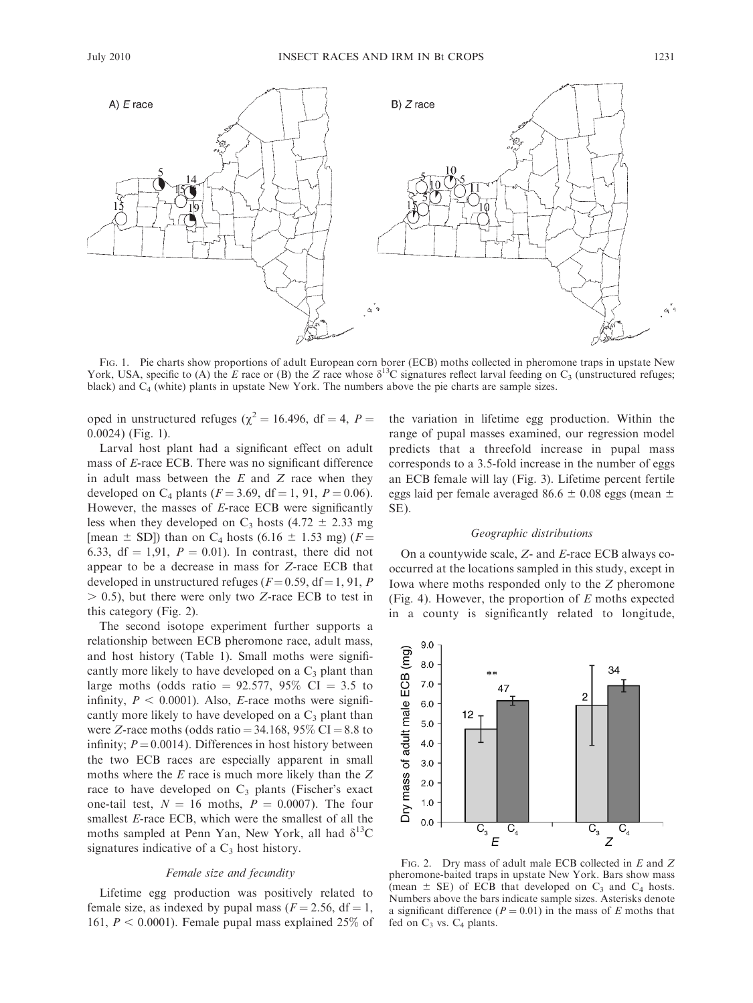

FIG. 1. Pie charts show proportions of adult European corn borer (ECB) moths collected in pheromone traps in upstate New York, USA, specific to (A) the E race or (B) the Z race whose  $\delta^{13}$ C signatures reflect larval feeding on C<sub>3</sub> (unstructured refuges; black) and  $C_4$  (white) plants in upstate New York. The numbers above the pie charts are sample sizes.

oped in unstructured refuges ( $\chi^2 = 16.496$ , df = 4, P = 0.0024) (Fig. 1).

Larval host plant had a significant effect on adult mass of E-race ECB. There was no significant difference in adult mass between the  $E$  and  $Z$  race when they developed on C<sub>4</sub> plants ( $F = 3.69$ , df = 1, 91,  $P = 0.06$ ). However, the masses of E-race ECB were significantly less when they developed on  $C_3$  hosts (4.72  $\pm$  2.33 mg) [mean  $\pm$  SD]) than on C<sub>4</sub> hosts (6.16  $\pm$  1.53 mg) (F = 6.33, df = 1,91,  $P = 0.01$ ). In contrast, there did not appear to be a decrease in mass for Z-race ECB that developed in unstructured refuges ( $F=0.59$ , df = 1, 91, P  $> 0.5$ ), but there were only two Z-race ECB to test in this category (Fig. 2).

The second isotope experiment further supports a relationship between ECB pheromone race, adult mass, and host history (Table 1). Small moths were significantly more likely to have developed on a  $C_3$  plant than large moths (odds ratio =  $92.577$ ,  $95\%$  CI = 3.5 to infinity,  $P < 0.0001$ ). Also, E-race moths were significantly more likely to have developed on a  $C_3$  plant than were Z-race moths (odds ratio =  $34.168$ ,  $95\%$  CI = 8.8 to infinity;  $P = 0.0014$ ). Differences in host history between the two ECB races are especially apparent in small moths where the  $E$  race is much more likely than the  $Z$ race to have developed on  $C_3$  plants (Fischer's exact one-tail test,  $N = 16$  moths,  $P = 0.0007$ ). The four smallest E-race ECB, which were the smallest of all the moths sampled at Penn Yan, New York, all had  $\delta^{13}C$ signatures indicative of a  $C_3$  host history.

# Female size and fecundity

Lifetime egg production was positively related to female size, as indexed by pupal mass ( $F = 2.56$ , df = 1, 161,  $P < 0.0001$ ). Female pupal mass explained 25% of the variation in lifetime egg production. Within the range of pupal masses examined, our regression model predicts that a threefold increase in pupal mass corresponds to a 3.5-fold increase in the number of eggs an ECB female will lay (Fig. 3). Lifetime percent fertile eggs laid per female averaged 86.6  $\pm$  0.08 eggs (mean  $\pm$ SE).

#### Geographic distributions

On a countywide scale, Z- and E-race ECB always cooccurred at the locations sampled in this study, except in Iowa where moths responded only to the Z pheromone (Fig. 4). However, the proportion of  $E$  moths expected in a county is significantly related to longitude,



FIG. 2. Dry mass of adult male ECB collected in E and Z pheromone-baited traps in upstate New York. Bars show mass (mean  $\pm$  SE) of ECB that developed on C<sub>3</sub> and C<sub>4</sub> hosts. Numbers above the bars indicate sample sizes. Asterisks denote a significant difference ( $P = 0.01$ ) in the mass of E moths that fed on  $C_3$  vs.  $C_4$  plants.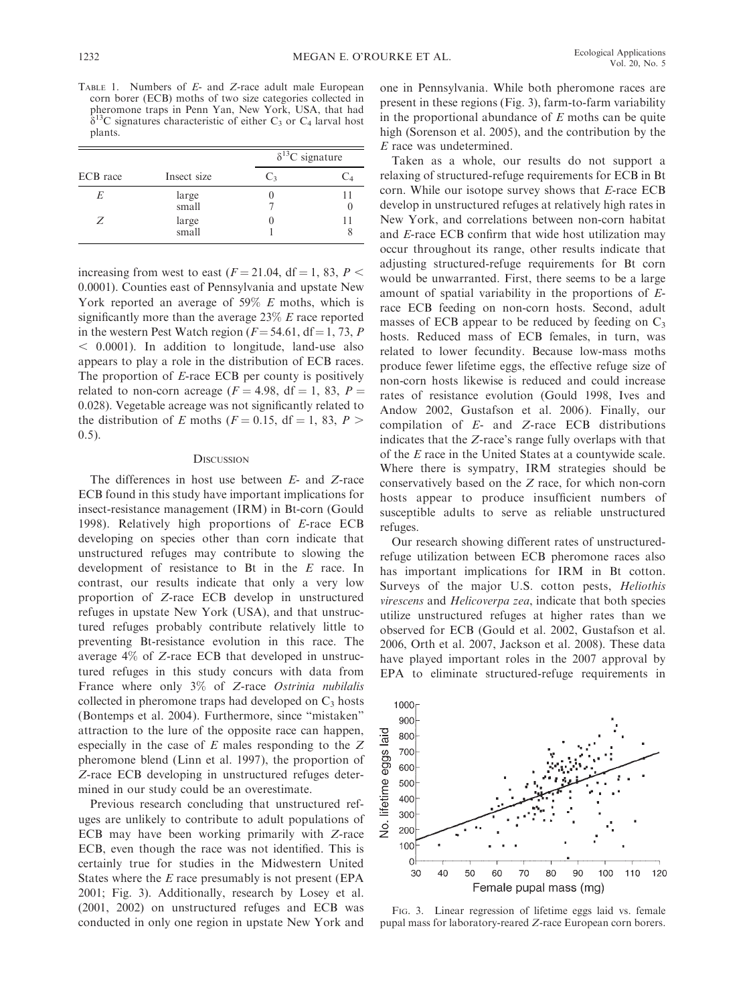TABLE 1. Numbers of E- and Z-race adult male European corn borer (ECB) moths of two size categories collected in pheromone traps in Penn Yan, New York, USA, that had  $\delta^{13}$ C signatures characteristic of either C<sub>3</sub> or C<sub>4</sub> larval host plants.

|          |                | $\delta^{13}$ C signature |  |
|----------|----------------|---------------------------|--|
| ECB race | Insect size    | $C_{3}$                   |  |
| E        | large<br>small |                           |  |
| Z        | large<br>small |                           |  |

increasing from west to east ( $F = 21.04$ , df = 1, 83, P < 0.0001). Counties east of Pennsylvania and upstate New York reported an average of 59% E moths, which is significantly more than the average  $23\%$  E race reported in the western Pest Watch region ( $F = 54.61$ , df = 1, 73, P  $<$  0.0001). In addition to longitude, land-use also appears to play a role in the distribution of ECB races. The proportion of E-race ECB per county is positively related to non-corn acreage ( $F = 4.98$ , df = 1, 83, P = 0.028). Vegetable acreage was not significantly related to the distribution of E moths ( $F = 0.15$ , df = 1, 83, P > 0.5).

#### **DISCUSSION**

The differences in host use between E- and Z-race ECB found in this study have important implications for insect-resistance management (IRM) in Bt-corn (Gould 1998). Relatively high proportions of E-race ECB developing on species other than corn indicate that unstructured refuges may contribute to slowing the development of resistance to Bt in the E race. In contrast, our results indicate that only a very low proportion of Z-race ECB develop in unstructured refuges in upstate New York (USA), and that unstructured refuges probably contribute relatively little to preventing Bt-resistance evolution in this race. The average 4% of Z-race ECB that developed in unstructured refuges in this study concurs with data from France where only 3% of Z-race Ostrinia nubilalis collected in pheromone traps had developed on  $C_3$  hosts (Bontemps et al. 2004). Furthermore, since ''mistaken'' attraction to the lure of the opposite race can happen, especially in the case of E males responding to the Z pheromone blend (Linn et al. 1997), the proportion of Z-race ECB developing in unstructured refuges determined in our study could be an overestimate.

Previous research concluding that unstructured refuges are unlikely to contribute to adult populations of ECB may have been working primarily with Z-race ECB, even though the race was not identified. This is certainly true for studies in the Midwestern United States where the  $E$  race presumably is not present (EPA) 2001; Fig. 3). Additionally, research by Losey et al. (2001, 2002) on unstructured refuges and ECB was conducted in only one region in upstate New York and one in Pennsylvania. While both pheromone races are present in these regions (Fig. 3), farm-to-farm variability in the proportional abundance of  $E$  moths can be quite high (Sorenson et al. 2005), and the contribution by the E race was undetermined.

Taken as a whole, our results do not support a relaxing of structured-refuge requirements for ECB in Bt corn. While our isotope survey shows that E-race ECB develop in unstructured refuges at relatively high rates in New York, and correlations between non-corn habitat and E-race ECB confirm that wide host utilization may occur throughout its range, other results indicate that adjusting structured-refuge requirements for Bt corn would be unwarranted. First, there seems to be a large amount of spatial variability in the proportions of Erace ECB feeding on non-corn hosts. Second, adult masses of ECB appear to be reduced by feeding on  $C_3$ hosts. Reduced mass of ECB females, in turn, was related to lower fecundity. Because low-mass moths produce fewer lifetime eggs, the effective refuge size of non-corn hosts likewise is reduced and could increase rates of resistance evolution (Gould 1998, Ives and Andow 2002, Gustafson et al. 2006). Finally, our compilation of  $E$ - and  $Z$ -race ECB distributions indicates that the Z-race's range fully overlaps with that of the E race in the United States at a countywide scale. Where there is sympatry, IRM strategies should be conservatively based on the Z race, for which non-corn hosts appear to produce insufficient numbers of susceptible adults to serve as reliable unstructured refuges.

Our research showing different rates of unstructuredrefuge utilization between ECB pheromone races also has important implications for IRM in Bt cotton. Surveys of the major U.S. cotton pests, Heliothis virescens and Helicoverpa zea, indicate that both species utilize unstructured refuges at higher rates than we observed for ECB (Gould et al. 2002, Gustafson et al. 2006, Orth et al. 2007, Jackson et al. 2008). These data have played important roles in the 2007 approval by EPA to eliminate structured-refuge requirements in



FIG. 3. Linear regression of lifetime eggs laid vs. female pupal mass for laboratory-reared Z-race European corn borers.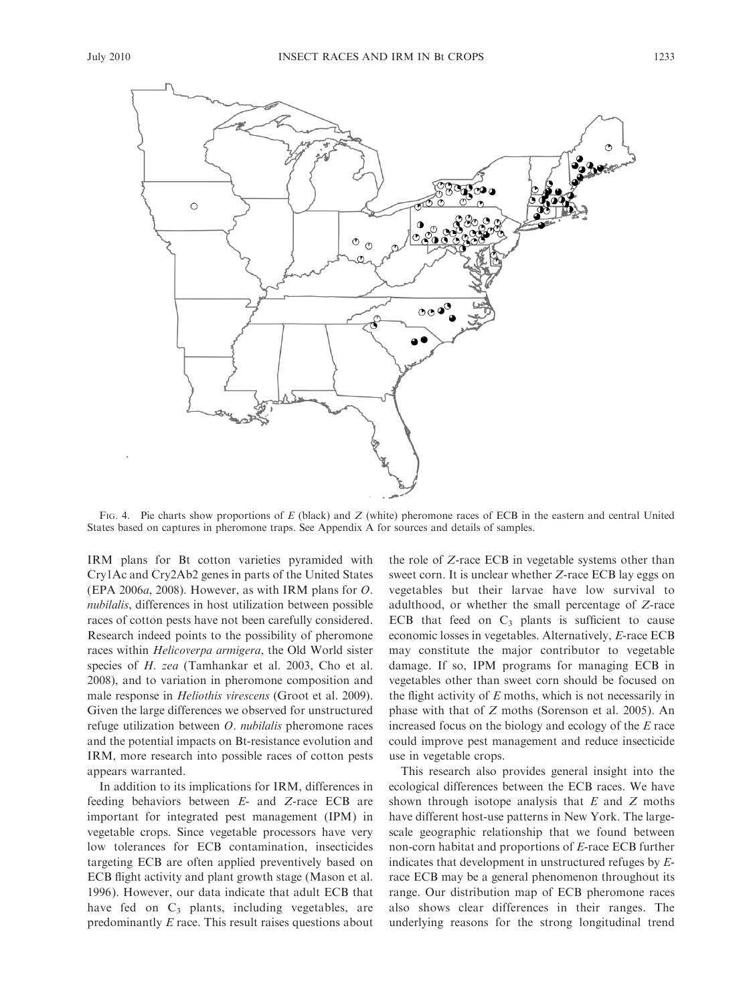

FIG. 4. Pie charts show proportions of E (black) and Z (white) pheromone races of ECB in the eastern and central United States based on captures in pheromone traps. See Appendix A for sources and details of samples.

IRM plans for Bt cotton varieties pyramided with Cry1Ac and Cry2Ab2 genes in parts of the United States (EPA 2006a, 2008). However, as with IRM plans for O. nubilalis, differences in host utilization between possible races of cotton pests have not been carefully considered. Research indeed points to the possibility of pheromone races within Helicoverpa armigera, the Old World sister species of H. zea (Tamhankar et al. 2003, Cho et al. 2008), and to variation in pheromone composition and male response in Heliothis virescens (Groot et al. 2009). Given the large differences we observed for unstructured refuge utilization between O. nubilalis pheromone races and the potential impacts on Bt-resistance evolution and IRM, more research into possible races of cotton pests appears warranted.

In addition to its implications for IRM, differences in feeding behaviors between E- and Z-race ECB are important for integrated pest management (IPM) in vegetable crops. Since vegetable processors have very low tolerances for ECB contamination, insecticides targeting ECB are often applied preventively based on ECB flight activity and plant growth stage (Mason et al. 1996). However, our data indicate that adult ECB that have fed on  $C_3$  plants, including vegetables, are predominantly E race. This result raises questions about the role of Z-race ECB in vegetable systems other than sweet corn. It is unclear whether Z-race ECB lay eggs on vegetables but their larvae have low survival to adulthood, or whether the small percentage of Z-race ECB that feed on  $C_3$  plants is sufficient to cause economic losses in vegetables. Alternatively, E-race ECB may constitute the major contributor to vegetable damage. If so, IPM programs for managing ECB in vegetables other than sweet corn should be focused on the flight activity of  $E$  moths, which is not necessarily in phase with that of Z moths (Sorenson et al. 2005). An increased focus on the biology and ecology of the E race could improve pest management and reduce insecticide use in vegetable crops.

This research also provides general insight into the ecological differences between the ECB races. We have shown through isotope analysis that  $E$  and  $Z$  moths have different host-use patterns in New York. The largescale geographic relationship that we found between non-corn habitat and proportions of E-race ECB further indicates that development in unstructured refuges by Erace ECB may be a general phenomenon throughout its range. Our distribution map of ECB pheromone races also shows clear differences in their ranges. The underlying reasons for the strong longitudinal trend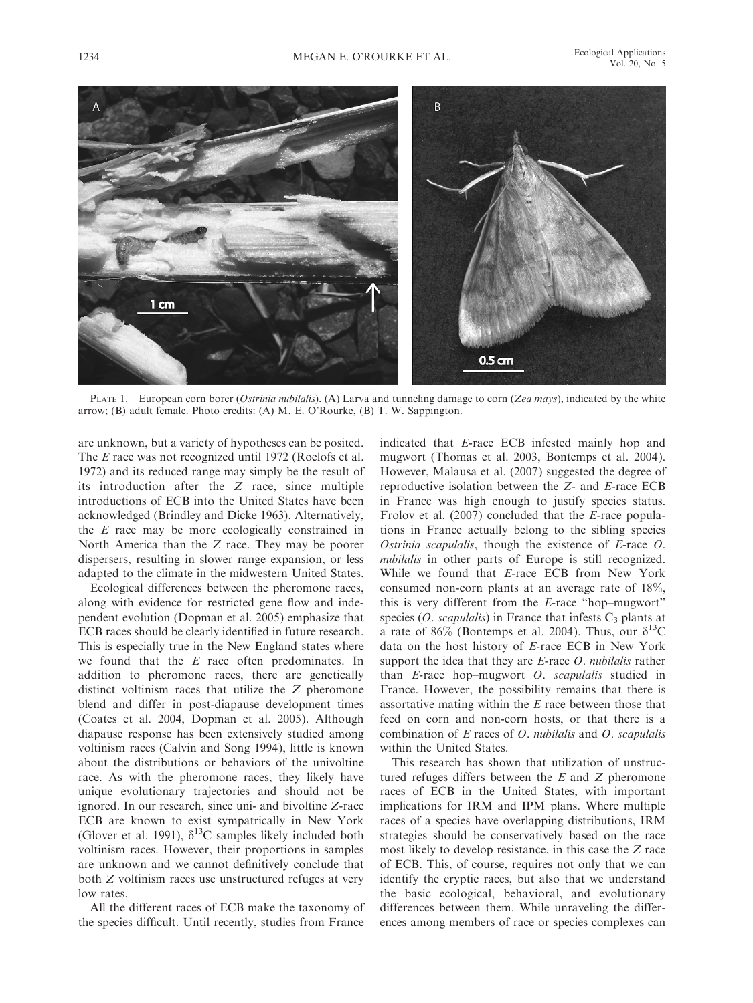

PLATE 1. European corn borer (Ostrinia nubilalis). (A) Larva and tunneling damage to corn (Zea mays), indicated by the white arrow; (B) adult female. Photo credits: (A) M. E. O'Rourke, (B) T. W. Sappington.

are unknown, but a variety of hypotheses can be posited. The E race was not recognized until 1972 (Roelofs et al. 1972) and its reduced range may simply be the result of its introduction after the Z race, since multiple introductions of ECB into the United States have been acknowledged (Brindley and Dicke 1963). Alternatively, the  $E$  race may be more ecologically constrained in North America than the Z race. They may be poorer dispersers, resulting in slower range expansion, or less adapted to the climate in the midwestern United States.

Ecological differences between the pheromone races, along with evidence for restricted gene flow and independent evolution (Dopman et al. 2005) emphasize that ECB races should be clearly identified in future research. This is especially true in the New England states where we found that the  $E$  race often predominates. In addition to pheromone races, there are genetically distinct voltinism races that utilize the Z pheromone blend and differ in post-diapause development times (Coates et al. 2004, Dopman et al. 2005). Although diapause response has been extensively studied among voltinism races (Calvin and Song 1994), little is known about the distributions or behaviors of the univoltine race. As with the pheromone races, they likely have unique evolutionary trajectories and should not be ignored. In our research, since uni- and bivoltine Z-race ECB are known to exist sympatrically in New York (Glover et al. 1991),  $\delta^{13}$ C samples likely included both voltinism races. However, their proportions in samples are unknown and we cannot definitively conclude that both Z voltinism races use unstructured refuges at very low rates.

All the different races of ECB make the taxonomy of the species difficult. Until recently, studies from France

indicated that E-race ECB infested mainly hop and mugwort (Thomas et al. 2003, Bontemps et al. 2004). However, Malausa et al. (2007) suggested the degree of reproductive isolation between the Z- and E-race ECB in France was high enough to justify species status. Frolov et al. (2007) concluded that the E-race populations in France actually belong to the sibling species Ostrinia scapulalis, though the existence of E-race O. nubilalis in other parts of Europe is still recognized. While we found that E-race ECB from New York consumed non-corn plants at an average rate of 18%, this is very different from the E-race ''hop–mugwort'' species (O. scapulalis) in France that infests  $C_3$  plants at a rate of 86% (Bontemps et al. 2004). Thus, our  $\delta^{13}C$ data on the host history of E-race ECB in New York support the idea that they are  $E$ -race  $O$ . *nubilalis* rather than  $E$ -race hop–mugwort  $O$ . scapulalis studied in France. However, the possibility remains that there is assortative mating within the  $E$  race between those that feed on corn and non-corn hosts, or that there is a combination of E races of O. nubilalis and O. scapulalis within the United States.

This research has shown that utilization of unstructured refuges differs between the  $E$  and  $Z$  pheromone races of ECB in the United States, with important implications for IRM and IPM plans. Where multiple races of a species have overlapping distributions, IRM strategies should be conservatively based on the race most likely to develop resistance, in this case the Z race of ECB. This, of course, requires not only that we can identify the cryptic races, but also that we understand the basic ecological, behavioral, and evolutionary differences between them. While unraveling the differences among members of race or species complexes can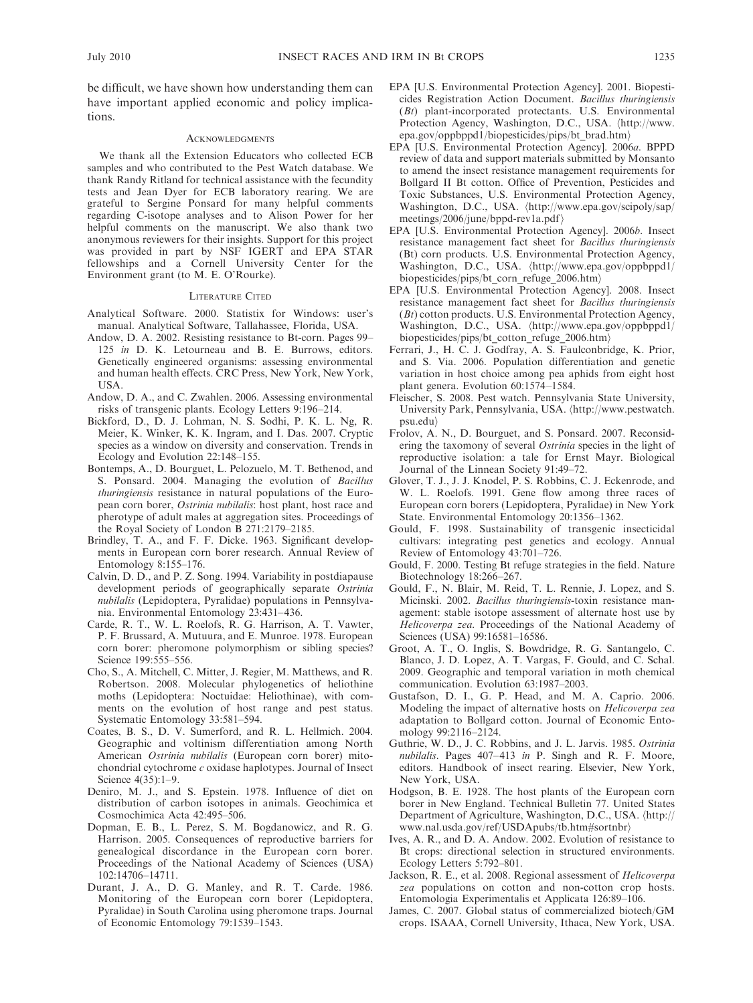be difficult, we have shown how understanding them can have important applied economic and policy implications.

#### **ACKNOWLEDGMENTS**

We thank all the Extension Educators who collected ECB samples and who contributed to the Pest Watch database. We thank Randy Ritland for technical assistance with the fecundity tests and Jean Dyer for ECB laboratory rearing. We are grateful to Sergine Ponsard for many helpful comments regarding C-isotope analyses and to Alison Power for her helpful comments on the manuscript. We also thank two anonymous reviewers for their insights. Support for this project was provided in part by NSF IGERT and EPA STAR fellowships and a Cornell University Center for the Environment grant (to M. E. O'Rourke).

#### LITERATURE CITED

- Analytical Software. 2000. Statistix for Windows: user's manual. Analytical Software, Tallahassee, Florida, USA.
- Andow, D. A. 2002. Resisting resistance to Bt-corn. Pages 99– 125 in D. K. Letourneau and B. E. Burrows, editors. Genetically engineered organisms: assessing environmental and human health effects. CRC Press, New York, New York, USA.
- Andow, D. A., and C. Zwahlen. 2006. Assessing environmental risks of transgenic plants. Ecology Letters 9:196–214.
- Bickford, D., D. J. Lohman, N. S. Sodhi, P. K. L. Ng, R. Meier, K. Winker, K. K. Ingram, and I. Das. 2007. Cryptic species as a window on diversity and conservation. Trends in Ecology and Evolution 22:148–155.
- Bontemps, A., D. Bourguet, L. Pelozuelo, M. T. Bethenod, and S. Ponsard. 2004. Managing the evolution of Bacillus thuringiensis resistance in natural populations of the European corn borer, Ostrinia nubilalis: host plant, host race and pherotype of adult males at aggregation sites. Proceedings of the Royal Society of London B 271:2179–2185.
- Brindley, T. A., and F. F. Dicke. 1963. Significant developments in European corn borer research. Annual Review of Entomology 8:155–176.
- Calvin, D. D., and P. Z. Song. 1994. Variability in postdiapause development periods of geographically separate Ostrinia nubilalis (Lepidoptera, Pyralidae) populations in Pennsylvania. Environmental Entomology 23:431–436.
- Carde, R. T., W. L. Roelofs, R. G. Harrison, A. T. Vawter, P. F. Brussard, A. Mutuura, and E. Munroe. 1978. European corn borer: pheromone polymorphism or sibling species? Science 199:555-556.
- Cho, S., A. Mitchell, C. Mitter, J. Regier, M. Matthews, and R. Robertson. 2008. Molecular phylogenetics of heliothine moths (Lepidoptera: Noctuidae: Heliothinae), with comments on the evolution of host range and pest status. Systematic Entomology 33:581–594.
- Coates, B. S., D. V. Sumerford, and R. L. Hellmich. 2004. Geographic and voltinism differentiation among North American Ostrinia nubilalis (European corn borer) mitochondrial cytochrome c oxidase haplotypes. Journal of Insect Science 4(35):1–9.
- Deniro, M. J., and S. Epstein. 1978. Influence of diet on distribution of carbon isotopes in animals. Geochimica et Cosmochimica Acta 42:495–506.
- Dopman, E. B., L. Perez, S. M. Bogdanowicz, and R. G. Harrison. 2005. Consequences of reproductive barriers for genealogical discordance in the European corn borer. Proceedings of the National Academy of Sciences (USA) 102:14706–14711.
- Durant, J. A., D. G. Manley, and R. T. Carde. 1986. Monitoring of the European corn borer (Lepidoptera, Pyralidae) in South Carolina using pheromone traps. Journal of Economic Entomology 79:1539–1543.
- EPA [U.S. Environmental Protection Agency]. 2001. Biopesticides Registration Action Document. Bacillus thuringiensis (Bt) plant-incorporated protectants. U.S. Environmental Protection Agency, Washington, D.C., USA. (http://www. epa.gov/oppbppd1/biopesticides/pips/bt\_brad.htmi
- EPA [U.S. Environmental Protection Agency]. 2006a. BPPD review of data and support materials submitted by Monsanto to amend the insect resistance management requirements for Bollgard II Bt cotton. Office of Prevention, Pesticides and Toxic Substances, U.S. Environmental Protection Agency, Washington, D.C., USA. (http://www.epa.gov/scipoly/sap/ meetings/2006/june/bppd-rev1a.pdfi
- EPA [U.S. Environmental Protection Agency]. 2006b. Insect resistance management fact sheet for Bacillus thuringiensis (Bt) corn products. U.S. Environmental Protection Agency, Washington, D.C., USA.  $\langle \frac{http://www.epa.gov/oppbppd1}{$ biopesticides/pips/bt\_corn\_refuge\_2006.htm)
- EPA [U.S. Environmental Protection Agency]. 2008. Insect resistance management fact sheet for Bacillus thuringiensis (Bt) cotton products. U.S. Environmental Protection Agency, Washington, D.C., USA. (http://www.epa.gov/oppbppd1/ biopesticides/pips/bt\_cotton\_refuge\_2006.htm)
- Ferrari, J., H. C. J. Godfray, A. S. Faulconbridge, K. Prior, and S. Via. 2006. Population differentiation and genetic variation in host choice among pea aphids from eight host plant genera. Evolution 60:1574–1584.
- Fleischer, S. 2008. Pest watch. Pennsylvania State University, University Park, Pennsylvania, USA. (http://www.pestwatch. psu.edui
- Frolov, A. N., D. Bourguet, and S. Ponsard. 2007. Reconsidering the taxomony of several Ostrinia species in the light of reproductive isolation: a tale for Ernst Mayr. Biological Journal of the Linnean Society 91:49–72.
- Glover, T. J., J. J. Knodel, P. S. Robbins, C. J. Eckenrode, and W. L. Roelofs. 1991. Gene flow among three races of European corn borers (Lepidoptera, Pyralidae) in New York State. Environmental Entomology 20:1356–1362.
- Gould, F. 1998. Sustainability of transgenic insecticidal cultivars: integrating pest genetics and ecology. Annual Review of Entomology 43:701–726.
- Gould, F. 2000. Testing Bt refuge strategies in the field. Nature Biotechnology 18:266–267.
- Gould, F., N. Blair, M. Reid, T. L. Rennie, J. Lopez, and S. Micinski. 2002. Bacillus thuringiensis-toxin resistance management: stable isotope assessment of alternate host use by Helicoverpa zea. Proceedings of the National Academy of Sciences (USA) 99:16581–16586.
- Groot, A. T., O. Inglis, S. Bowdridge, R. G. Santangelo, C. Blanco, J. D. Lopez, A. T. Vargas, F. Gould, and C. Schal. 2009. Geographic and temporal variation in moth chemical communication. Evolution 63:1987–2003.
- Gustafson, D. I., G. P. Head, and M. A. Caprio. 2006. Modeling the impact of alternative hosts on Helicoverpa zea adaptation to Bollgard cotton. Journal of Economic Entomology 99:2116–2124.
- Guthrie, W. D., J. C. Robbins, and J. L. Jarvis. 1985. Ostrinia nubilalis. Pages 407–413 in P. Singh and R. F. Moore, editors. Handbook of insect rearing. Elsevier, New York, New York, USA.
- Hodgson, B. E. 1928. The host plants of the European corn borer in New England. Technical Bulletin 77. United States Department of Agriculture, Washington, D.C., USA.  $\langle$ http:// www.nal.usda.gov/ref/USDApubs/tb.htm#sortnbri
- Ives, A. R., and D. A. Andow. 2002. Evolution of resistance to Bt crops: directional selection in structured environments. Ecology Letters 5:792–801.
- Jackson, R. E., et al. 2008. Regional assessment of Helicoverpa zea populations on cotton and non-cotton crop hosts. Entomologia Experimentalis et Applicata 126:89–106.
- James, C. 2007. Global status of commercialized biotech/GM crops. ISAAA, Cornell University, Ithaca, New York, USA.